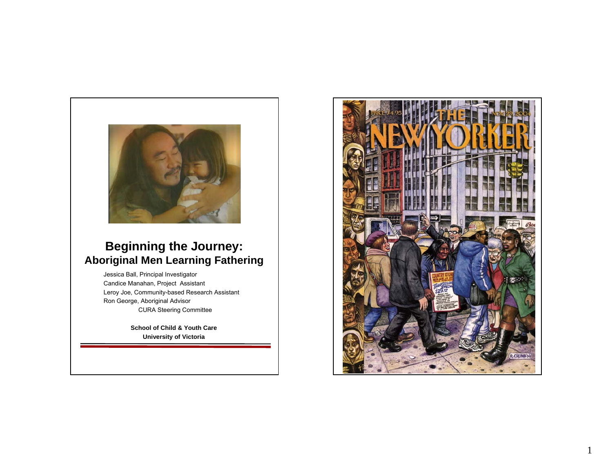

## **Beginning the Journey: Aboriginal Men Learning Fathering**

Jessica Ball, Principal Investigator Candice Manahan, Project Assistant Leroy Joe, Community-based Research Assistant Ron George, Aboriginal Advisor CURA Steering Committee

> **School of Child & Youth Care University of Victoria**



1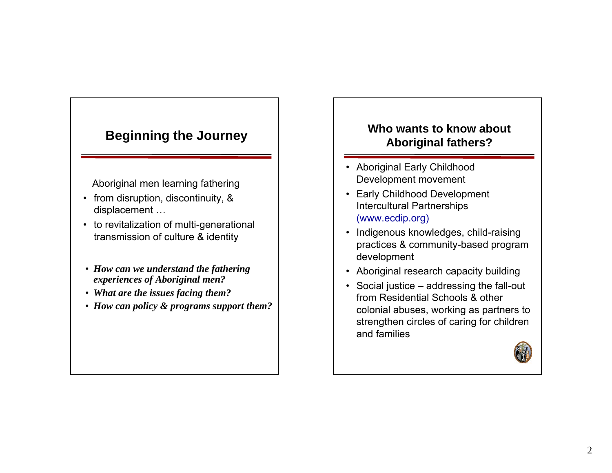# **Beginning the Journey**

Aboriginal men learning fathering

- from disruption, discontinuity, & displacement …
- to revitalization of multi-generational transmission of culture & identity
- *How can we understand the fathering experiences of Aboriginal men?*
- *What are the issues facing them?*
- *How can policy & programs support them?*

## **Who wants to know about Aboriginal fathers?**

- Aboriginal Early Childhood Development movement
- Early Childhood Development Intercultural Partnerships (www.ecdip.org)
- Indigenous knowledges, child-raising practices & community-based program development
- Aboriginal research capacity building
- Social justice addressing the fall-out from Residential Schools & other colonial abuses, working as partners to strengthen circles of caring for children and families

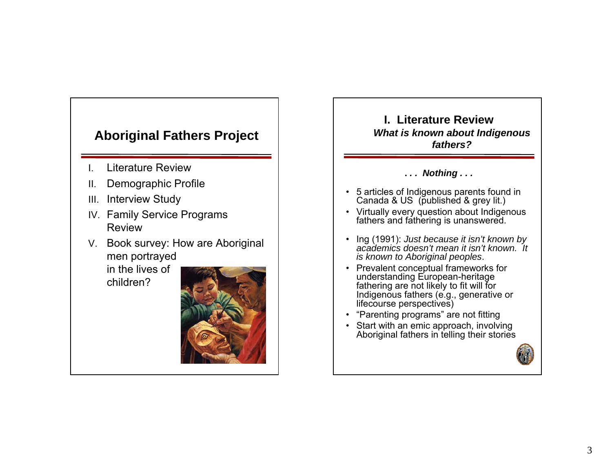# **Aboriginal Fathers Project**

- I.Literature Review
- II.Demographic Profile
- III.Interview Study
- IV. Family Service Programs Review
- V. Book survey: How are Aboriginal men portrayed

in the lives of children?





**.** *. . Nothing . . .* 

- 5 articles of Indigenous parents found in Canada & US (published & grey lit.)
- Virtually every question about Indigenous fathers and fathering is unanswered.
- Ing (1991): *Just because it isn't known by academics doesn't mean it isn't known. It is known to Aboriginal peoples*.
- Prevalent conceptual frameworks for understanding European-heritage fathering are not likely to fit will for Indigenous fathers (e.g., generative or lifecourse perspectives)
- "Parenting programs" are not fitting
- Start with an emic approach, involving Aboriginal fathers in telling their stories

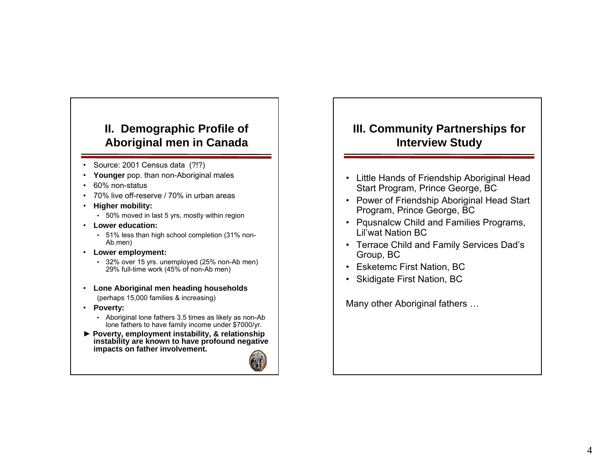## **II. Demographic Profile of Aboriginal men in Canada**

- Source: 2001 Census data (?!?)
- •**Younger** pop. than non-Aboriginal males
- 60% non-status
- •70% live off-reserve / 70% in urban areas
- **Higher mobility:** 
	- 50% moved in last 5 yrs, mostly within region
- **Lower education:** 
	- 51% less than high school completion (31% non-Ab.men)
- **Lower employment:** 
	- 32% over 15 yrs. unemployed (25% non-Ab men) 29% full-time work (45% of non-Ab men)
- **Lone Aboriginal men heading households** (perhaps 15,000 families & increasing)
- **Poverty:**
	- Aboriginal lone fathers 3.5 times as likely as non-Ab lone fathers to have family income under \$7000/yr.
- ► **Poverty, employment instability, & relationship instability are known to have profound negative impacts on father involvement.**



## **III. Community Partnerships for Interview Study**

- Little Hands of Friendship Aboriginal Head Start Program, Prince George, BC
- Power of Friendship Aboriginal Head Start Program, Prince George, BC
- Pqusnalcw Child and Families Programs, Lil'wat Nation BC
- Terrace Child and Family Services Dad's Group, BC
- Esketemc First Nation, BC
- Skidigate First Nation, BC

Many other Aboriginal fathers …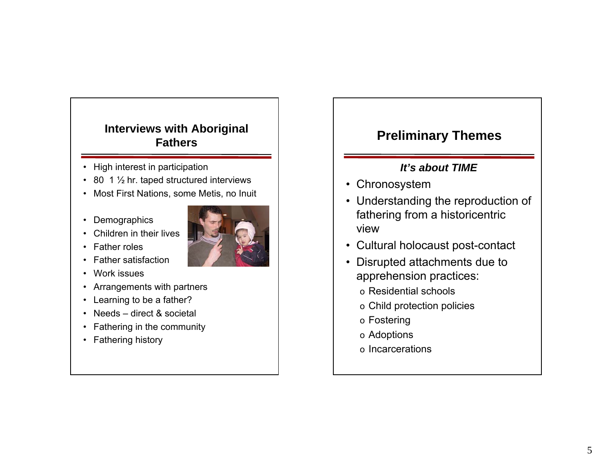### **Interviews with Aboriginal Fathers**

- High interest in participation
- 80 1 <sup>1</sup>/<sub>2</sub> hr. taped structured interviews
- Most First Nations, some Metis, no Inuit
- Demographics
- Children in their lives



- Father roles
- Father satisfaction
- Work issues
- Arrangements with partners
- Learning to be a father?
- Needs direct & societal
- Fathering in the community
- Fathering history

# **Preliminary Themes**

#### *It's about TIME*

- Chronosystem
- Understanding the reproduction of fathering from a historicentric view
- Cultural holocaust post-contact
- Disrupted attachments due to apprehension practices:
	- o Residential schools
	- o Child protection policies
	- o Fostering
	- o Adoptions
	- o Incarcerations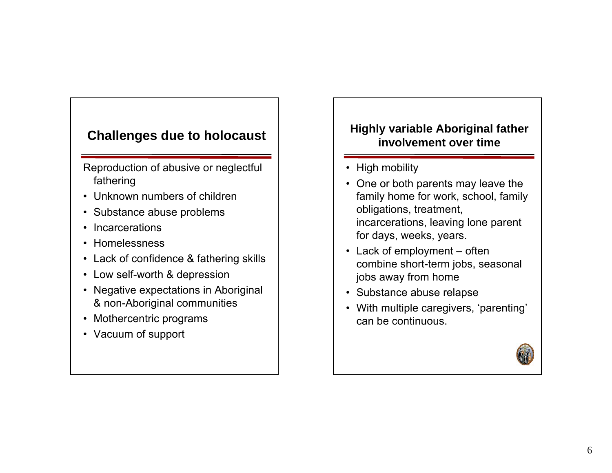# **Challenges due to holocaust**

Reproduction of abusive or neglectful fathering

- Unknown numbers of children
- Substance abuse problems
- Incarcerations
- Homelessness
- Lack of confidence & fathering skills
- Low self-worth & depression
- Negative expectations in Aboriginal & non-Aboriginal communities
- Mothercentric programs
- Vacuum of support

## **Highly variable Aboriginal father involvement over time**

- High mobility
- One or both parents may leave the family home for work, school, family obligations, treatment, incarcerations, leaving lone parent for days, weeks, years.
- Lack of employment often combine short-term jobs, seasonal jobs away from home
- Substance abuse relapse
- With multiple caregivers, 'parenting' can be continuous.

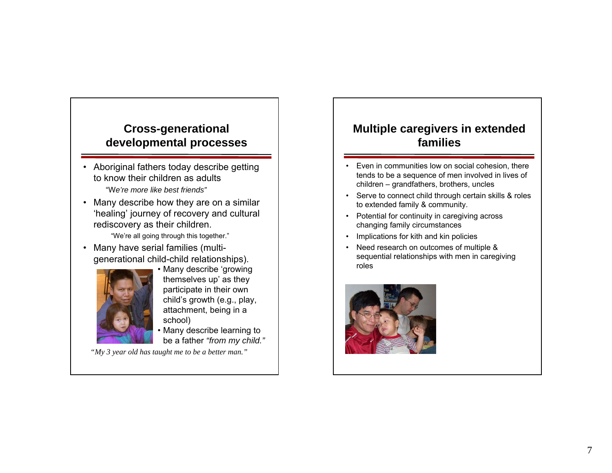#### **Cross-generational developmental processes**

- Aboriginal fathers today describe getting to know their children as adults "W*e're more like best friends"*
- Many describe how they are on a similar 'healing' journey of recovery and cultural rediscovery as their children.

"We're all going through this together."

• Many have serial families (multigenerational child-child relationships).



• Many describe 'growing themselves up' as they participate in their own child's growth (e.g., play, attachment, being in a school)

• Many describe learning to be a father *"from my child."*

*"My 3 year old has taught me to be a better man."*

#### **Multiple caregivers in extended families**

- Even in communities low on social cohesion, there tends to be a sequence of men involved in lives of children – grandfathers, brothers, uncles
- • Serve to connect child through certain skills & roles to extended family & community.
- Potential for continuity in caregiving across changing family circumstances
- Implications for kith and kin policies
- Need research on outcomes of multiple & sequential relationships with men in caregiving roles

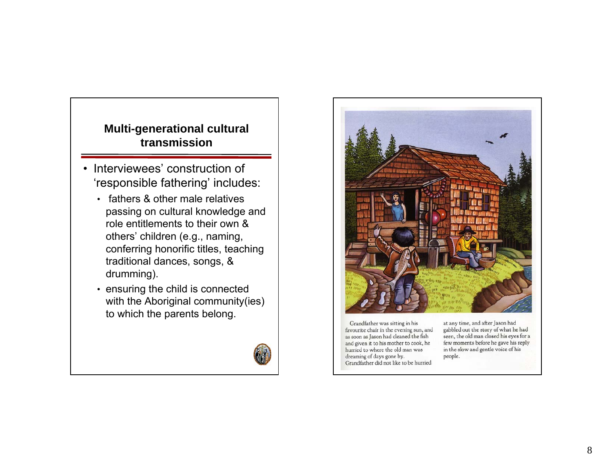## **Multi-generational cultural transmission**

- Interviewees' construction of 'responsible fathering' includes:
	- fathers & other male relatives passing on cultural knowledge and role entitlements to their own & others' children (e.g., naming, conferring honorific titles, teaching traditional dances, songs, & drumming).
	- ensuring the child is connected with the Aboriginal community(ies) to which the parents belong.





Grandfather was sitting in his favourite chair in the evening sun, and as soon as Jason had cleaned the fish and given it to his mother to cook, he hurried to where the old man was dreaming of days gone by. Grandfather did not like to be hurried

at any time, and after Jason had gabbled out the story of what he had seen, the old man closed his eyes for a few moments before he gave his reply in the slow and gentle voice of his people.